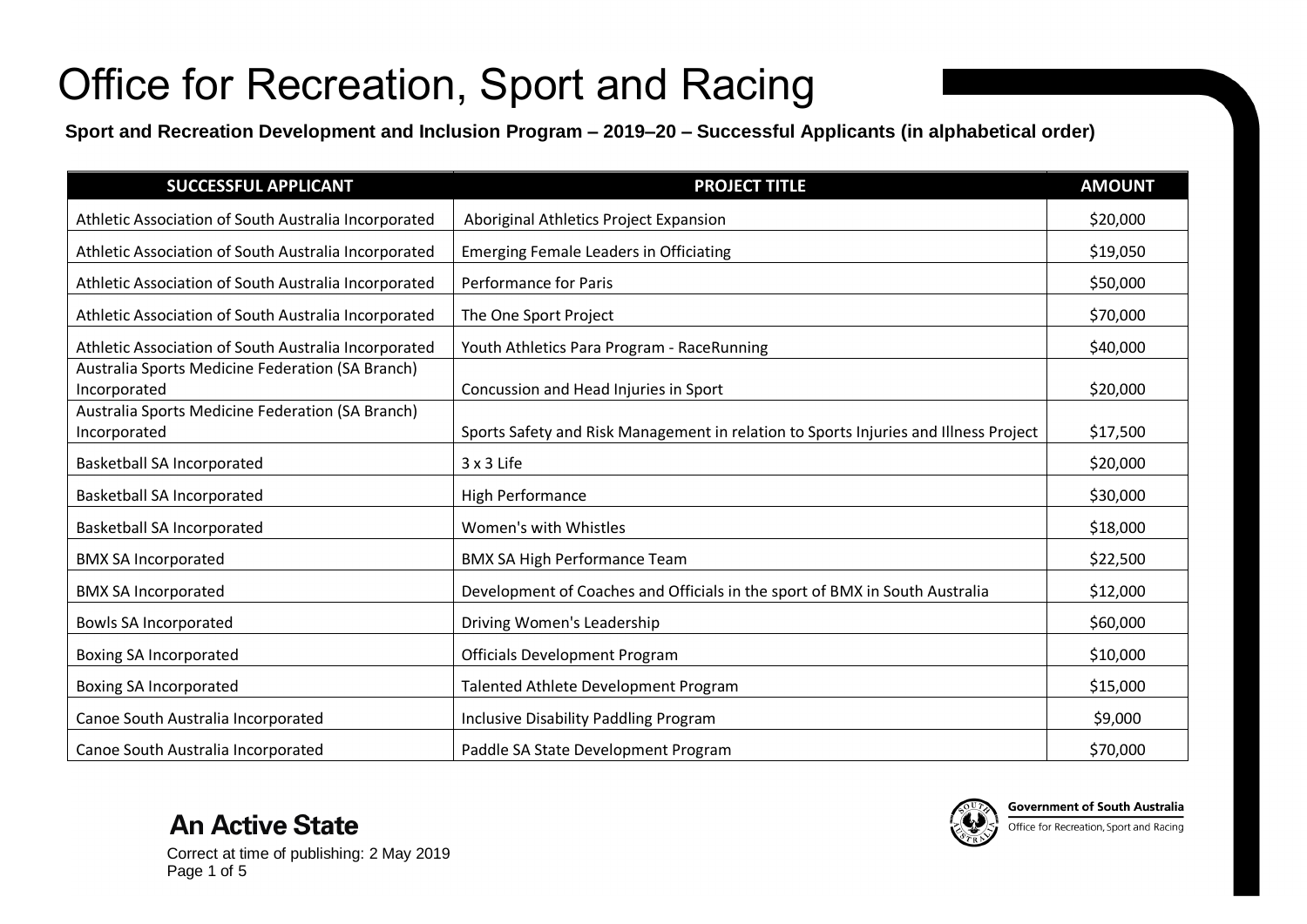**Sport and Recreation Development and Inclusion Program – 2019–20 – Successful Applicants (in alphabetical order)**

| <b>SUCCESSFUL APPLICANT</b>                                      | <b>PROJECT TITLE</b>                                                                 | <b>AMOUNT</b> |
|------------------------------------------------------------------|--------------------------------------------------------------------------------------|---------------|
| Athletic Association of South Australia Incorporated             | Aboriginal Athletics Project Expansion                                               | \$20,000      |
| Athletic Association of South Australia Incorporated             | <b>Emerging Female Leaders in Officiating</b>                                        | \$19,050      |
| Athletic Association of South Australia Incorporated             | Performance for Paris                                                                | \$50,000      |
| Athletic Association of South Australia Incorporated             | The One Sport Project                                                                | \$70,000      |
| Athletic Association of South Australia Incorporated             | Youth Athletics Para Program - RaceRunning                                           | \$40,000      |
| Australia Sports Medicine Federation (SA Branch)<br>Incorporated | Concussion and Head Injuries in Sport                                                | \$20,000      |
| Australia Sports Medicine Federation (SA Branch)<br>Incorporated | Sports Safety and Risk Management in relation to Sports Injuries and Illness Project | \$17,500      |
| <b>Basketball SA Incorporated</b>                                | 3 x 3 Life                                                                           | \$20,000      |
| <b>Basketball SA Incorporated</b>                                | <b>High Performance</b>                                                              | \$30,000      |
| <b>Basketball SA Incorporated</b>                                | Women's with Whistles                                                                | \$18,000      |
| <b>BMX SA Incorporated</b>                                       | <b>BMX SA High Performance Team</b>                                                  | \$22,500      |
| <b>BMX SA Incorporated</b>                                       | Development of Coaches and Officials in the sport of BMX in South Australia          | \$12,000      |
| <b>Bowls SA Incorporated</b>                                     | Driving Women's Leadership                                                           | \$60,000      |
| Boxing SA Incorporated                                           | <b>Officials Development Program</b>                                                 | \$10,000      |
| Boxing SA Incorporated                                           | Talented Athlete Development Program                                                 | \$15,000      |
| Canoe South Australia Incorporated                               | <b>Inclusive Disability Paddling Program</b>                                         | \$9,000       |
| Canoe South Australia Incorporated                               | Paddle SA State Development Program                                                  | \$70,000      |





**Government of South Australia** Office for Recreation, Sport and Racing

Correct at time of publishing: 2 May 2019 Page 1 of 5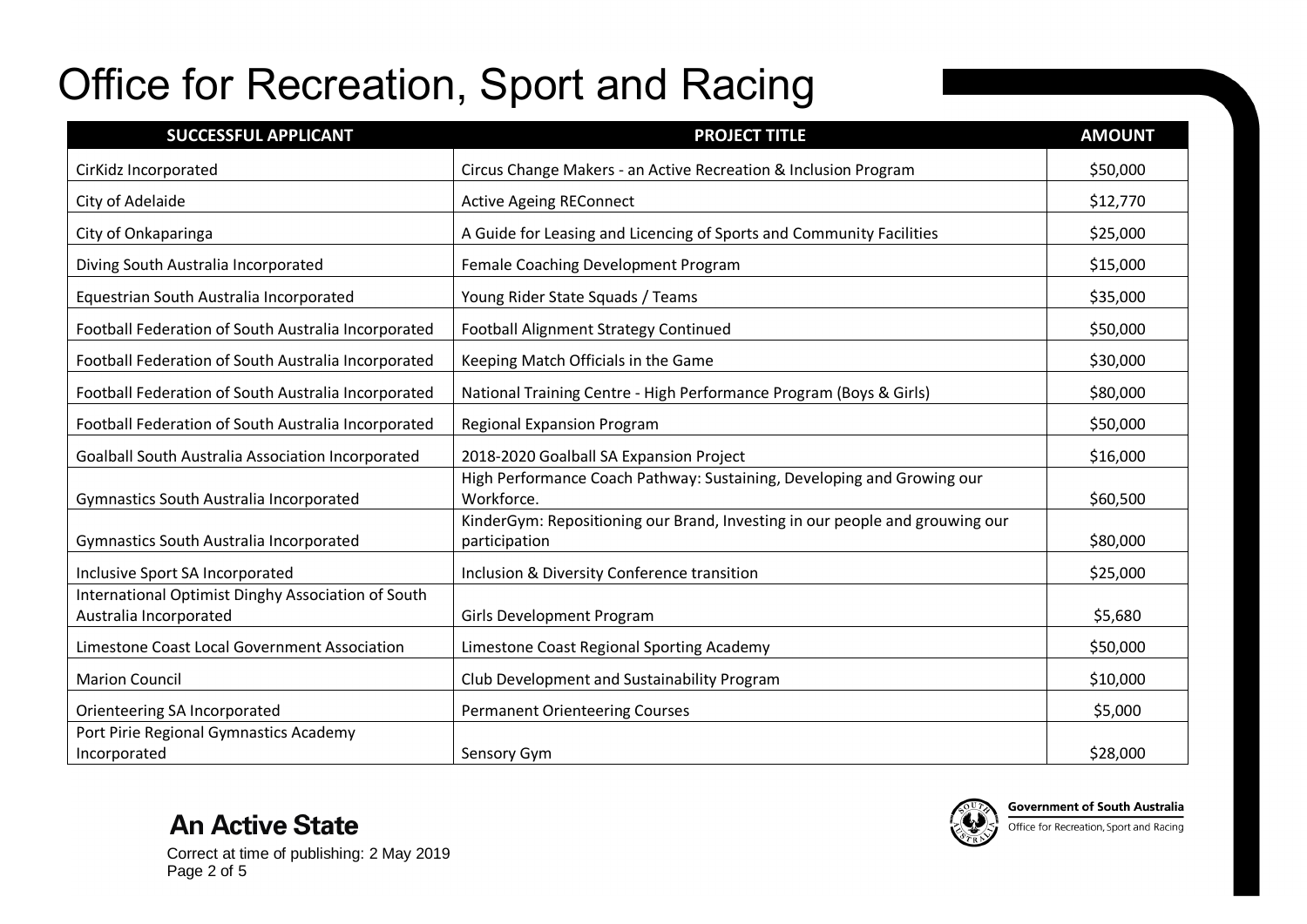| <b>SUCCESSFUL APPLICANT</b>                                                  | <b>PROJECT TITLE</b>                                                                          | <b>AMOUNT</b> |
|------------------------------------------------------------------------------|-----------------------------------------------------------------------------------------------|---------------|
| CirKidz Incorporated                                                         | Circus Change Makers - an Active Recreation & Inclusion Program                               | \$50,000      |
| City of Adelaide                                                             | <b>Active Ageing REConnect</b>                                                                | \$12,770      |
| City of Onkaparinga                                                          | A Guide for Leasing and Licencing of Sports and Community Facilities                          | \$25,000      |
| Diving South Australia Incorporated                                          | Female Coaching Development Program                                                           | \$15,000      |
| Equestrian South Australia Incorporated                                      | Young Rider State Squads / Teams                                                              | \$35,000      |
| Football Federation of South Australia Incorporated                          | <b>Football Alignment Strategy Continued</b>                                                  | \$50,000      |
| Football Federation of South Australia Incorporated                          | Keeping Match Officials in the Game                                                           | \$30,000      |
| Football Federation of South Australia Incorporated                          | National Training Centre - High Performance Program (Boys & Girls)                            | \$80,000      |
| Football Federation of South Australia Incorporated                          | <b>Regional Expansion Program</b>                                                             | \$50,000      |
| Goalball South Australia Association Incorporated                            | 2018-2020 Goalball SA Expansion Project                                                       | \$16,000      |
| Gymnastics South Australia Incorporated                                      | High Performance Coach Pathway: Sustaining, Developing and Growing our<br>Workforce.          | \$60,500      |
| Gymnastics South Australia Incorporated                                      | KinderGym: Repositioning our Brand, Investing in our people and grouwing our<br>participation | \$80,000      |
| Inclusive Sport SA Incorporated                                              | Inclusion & Diversity Conference transition                                                   | \$25,000      |
| International Optimist Dinghy Association of South<br>Australia Incorporated | <b>Girls Development Program</b>                                                              | \$5,680       |
| Limestone Coast Local Government Association                                 | Limestone Coast Regional Sporting Academy                                                     | \$50,000      |
| <b>Marion Council</b>                                                        | Club Development and Sustainability Program                                                   | \$10,000      |
| Orienteering SA Incorporated                                                 | <b>Permanent Orienteering Courses</b>                                                         | \$5,000       |
| Port Pirie Regional Gymnastics Academy<br>Incorporated                       | Sensory Gym                                                                                   | \$28,000      |

**An Active State**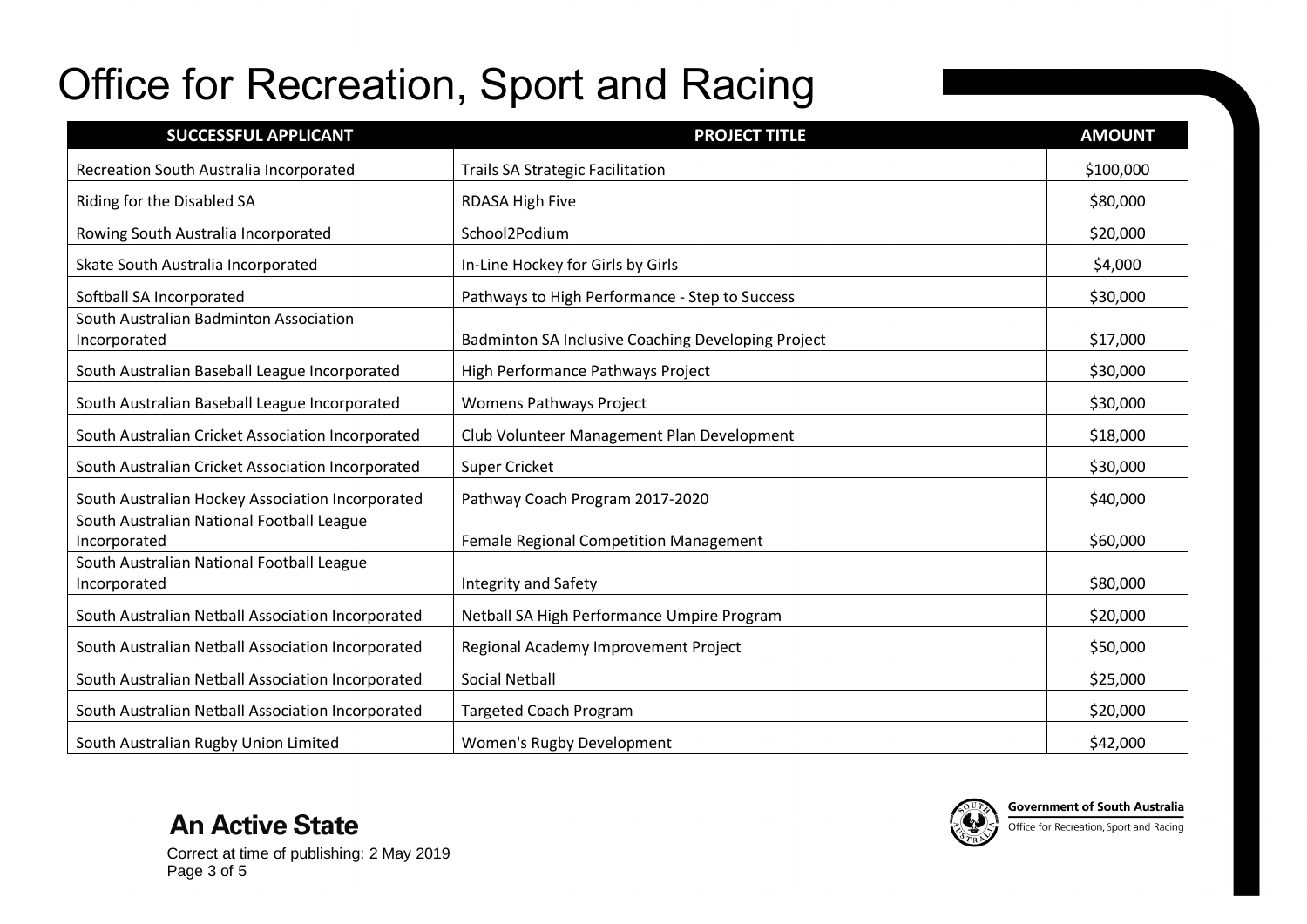| <b>SUCCESSFUL APPLICANT</b>                               | <b>PROJECT TITLE</b>                               | <b>AMOUNT</b> |
|-----------------------------------------------------------|----------------------------------------------------|---------------|
| Recreation South Australia Incorporated                   | <b>Trails SA Strategic Facilitation</b>            | \$100,000     |
| Riding for the Disabled SA                                | RDASA High Five                                    | \$80,000      |
| Rowing South Australia Incorporated                       | School2Podium                                      | \$20,000      |
| Skate South Australia Incorporated                        | In-Line Hockey for Girls by Girls                  | \$4,000       |
| Softball SA Incorporated                                  | Pathways to High Performance - Step to Success     | \$30,000      |
| South Australian Badminton Association<br>Incorporated    | Badminton SA Inclusive Coaching Developing Project | \$17,000      |
| South Australian Baseball League Incorporated             | High Performance Pathways Project                  | \$30,000      |
| South Australian Baseball League Incorporated             | Womens Pathways Project                            | \$30,000      |
| South Australian Cricket Association Incorporated         | Club Volunteer Management Plan Development         | \$18,000      |
| South Australian Cricket Association Incorporated         | <b>Super Cricket</b>                               | \$30,000      |
| South Australian Hockey Association Incorporated          | Pathway Coach Program 2017-2020                    | \$40,000      |
| South Australian National Football League<br>Incorporated | <b>Female Regional Competition Management</b>      | \$60,000      |
| South Australian National Football League<br>Incorporated | Integrity and Safety                               | \$80,000      |
| South Australian Netball Association Incorporated         | Netball SA High Performance Umpire Program         | \$20,000      |
| South Australian Netball Association Incorporated         | Regional Academy Improvement Project               | \$50,000      |
| South Australian Netball Association Incorporated         | <b>Social Netball</b>                              | \$25,000      |
| South Australian Netball Association Incorporated         | <b>Targeted Coach Program</b>                      | \$20,000      |
| South Australian Rugby Union Limited                      | Women's Rugby Development                          | \$42,000      |



Correct at time of publishing: 2 May 2019 Page 3 of 5

**An Active State**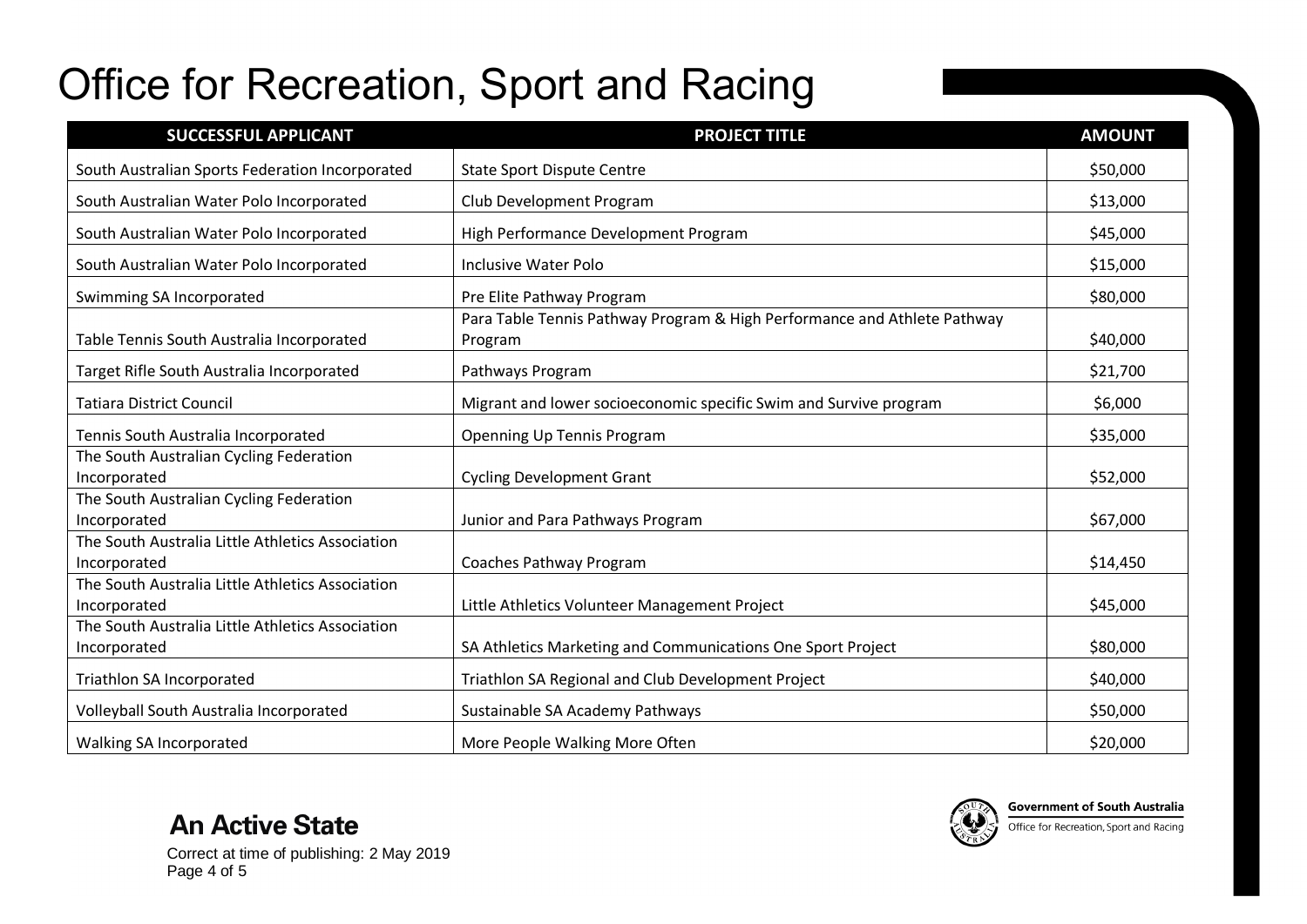| <b>SUCCESSFUL APPLICANT</b>                                      | <b>PROJECT TITLE</b>                                                                | <b>AMOUNT</b> |
|------------------------------------------------------------------|-------------------------------------------------------------------------------------|---------------|
| South Australian Sports Federation Incorporated                  | <b>State Sport Dispute Centre</b>                                                   | \$50,000      |
| South Australian Water Polo Incorporated                         | Club Development Program                                                            | \$13,000      |
| South Australian Water Polo Incorporated                         | High Performance Development Program                                                | \$45,000      |
| South Australian Water Polo Incorporated                         | <b>Inclusive Water Polo</b>                                                         | \$15,000      |
| Swimming SA Incorporated                                         | Pre Elite Pathway Program                                                           | \$80,000      |
| Table Tennis South Australia Incorporated                        | Para Table Tennis Pathway Program & High Performance and Athlete Pathway<br>Program | \$40,000      |
| Target Rifle South Australia Incorporated                        | Pathways Program                                                                    | \$21,700      |
| <b>Tatiara District Council</b>                                  | Migrant and lower socioeconomic specific Swim and Survive program                   | \$6,000       |
| Tennis South Australia Incorporated                              | Openning Up Tennis Program                                                          | \$35,000      |
| The South Australian Cycling Federation<br>Incorporated          | <b>Cycling Development Grant</b>                                                    | \$52,000      |
| The South Australian Cycling Federation<br>Incorporated          | Junior and Para Pathways Program                                                    | \$67,000      |
| The South Australia Little Athletics Association<br>Incorporated | Coaches Pathway Program                                                             | \$14,450      |
| The South Australia Little Athletics Association<br>Incorporated | Little Athletics Volunteer Management Project                                       | \$45,000      |
| The South Australia Little Athletics Association<br>Incorporated | SA Athletics Marketing and Communications One Sport Project                         | \$80,000      |
| Triathlon SA Incorporated                                        | Triathlon SA Regional and Club Development Project                                  | \$40,000      |
| Volleyball South Australia Incorporated                          | Sustainable SA Academy Pathways                                                     | \$50,000      |
| Walking SA Incorporated                                          | More People Walking More Often                                                      | \$20,000      |



**An Active State**